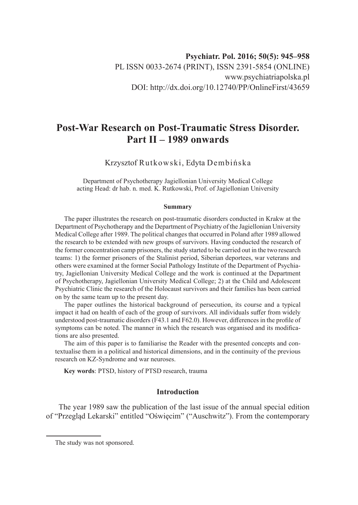# **Post-War Research on Post-Traumatic Stress Disorder. Part II – 1989 onwards**

Krzysztof Rutkowski, Edyta Dembińska

Department of Psychotherapy Jagiellonian University Medical College acting Head: dr hab. n. med. K. Rutkowski, Prof. of Jagiellonian University

#### **Summary**

The paper illustrates the research on post-traumatic disorders conducted in Krakw at the Department of Psychotherapy and the Department of Psychiatry of the Jagiellonian University Medical College after 1989. The political changes that occurred in Poland after 1989 allowed the research to be extended with new groups of survivors. Having conducted the research of the former concentration camp prisoners, the study started to be carried out in the two research teams: 1) the former prisoners of the Stalinist period, Siberian deportees, war veterans and others were examined at the former Social Pathology Institute of the Department of Psychiatry, Jagiellonian University Medical College and the work is continued at the Department of Psychotherapy, Jagiellonian University Medical College; 2) at the Child and Adolescent Psychiatric Clinic the research of the Holocaust survivors and their families has been carried on by the same team up to the present day.

The paper outlines the historical background of persecution, its course and a typical impact it had on health of each of the group of survivors. All individuals suffer from widely understood post-traumatic disorders (F43.1 and F62.0). However, differences in the profile of symptoms can be noted. The manner in which the research was organised and its modifications are also presented.

The aim of this paper is to familiarise the Reader with the presented concepts and contextualise them in a political and historical dimensions, and in the continuity of the previous research on KZ-Syndrome and war neuroses.

**Key words**: PTSD, history of PTSD research, trauma

# **Introduction**

The year 1989 saw the publication of the last issue of the annual special edition of "Przegląd Lekarski" entitled "Oświęcim" ("Auschwitz"). From the contemporary

The study was not sponsored.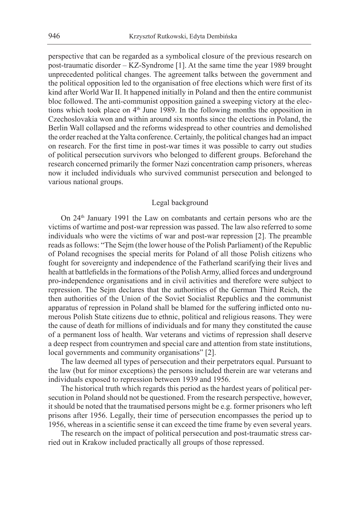perspective that can be regarded as a symbolical closure of the previous research on post-traumatic disorder – KZ-Syndrome [1]. At the same time the year 1989 brought unprecedented political changes. The agreement talks between the government and the political opposition led to the organisation of free elections which were first of its kind after World War II. It happened initially in Poland and then the entire communist bloc followed. The anti-communist opposition gained a sweeping victory at the elections which took place on  $4<sup>th</sup>$  June 1989. In the following months the opposition in Czechoslovakia won and within around six months since the elections in Poland, the Berlin Wall collapsed and the reforms widespread to other countries and demolished the order reached at the Yalta conference. Certainly, the political changes had an impact on research. For the first time in post-war times it was possible to carry out studies of political persecution survivors who belonged to different groups. Beforehand the research concerned primarily the former Nazi concentration camp prisoners, whereas now it included individuals who survived communist persecution and belonged to various national groups.

#### Legal background

On 24<sup>th</sup> January 1991 the Law on combatants and certain persons who are the victims of wartime and post-war repression was passed. The law also referred to some individuals who were the victims of war and post-war repression [2]. The preamble reads as follows: "The Sejm (the lower house of the Polish Parliament) of the Republic of Poland recognises the special merits for Poland of all those Polish citizens who fought for sovereignty and independence of the Fatherland scarifying their lives and health at battlefields in the formations of the Polish Army, allied forces and underground pro-independence organisations and in civil activities and therefore were subject to repression. The Sejm declares that the authorities of the German Third Reich, the then authorities of the Union of the Soviet Socialist Republics and the communist apparatus of repression in Poland shall be blamed for the suffering inflicted onto numerous Polish State citizens due to ethnic, political and religious reasons. They were the cause of death for millions of individuals and for many they constituted the cause of a permanent loss of health. War veterans and victims of repression shall deserve a deep respect from countrymen and special care and attention from state institutions, local governments and community organisations" [2].

The law deemed all types of persecution and their perpetrators equal. Pursuant to the law (but for minor exceptions) the persons included therein are war veterans and individuals exposed to repression between 1939 and 1956.

The historical truth which regards this period as the hardest years of political persecution in Poland should not be questioned. From the research perspective, however, it should be noted that the traumatised persons might be e.g. former prisoners who left prisons after 1956. Legally, their time of persecution encompasses the period up to 1956, whereas in a scientific sense it can exceed the time frame by even several years.

The research on the impact of political persecution and post-traumatic stress carried out in Krakow included practically all groups of those repressed.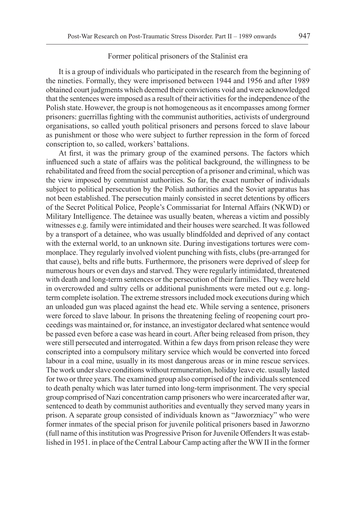## Former political prisoners of the Stalinist era

It is a group of individuals who participated in the research from the beginning of the nineties. Formally, they were imprisoned between 1944 and 1956 and after 1989 obtained court judgments which deemed their convictions void and were acknowledged that the sentences were imposed as a result of their activities for the independence of the Polish state. However, the group is not homogeneous as it encompasses among former prisoners: guerrillas fighting with the communist authorities, activists of underground organisations, so called youth political prisoners and persons forced to slave labour as punishment or those who were subject to further repression in the form of forced conscription to, so called, workers' battalions.

At first, it was the primary group of the examined persons. The factors which influenced such a state of affairs was the political background, the willingness to be rehabilitated and freed from the social perception of a prisoner and criminal, which was the view imposed by communist authorities. So far, the exact number of individuals subject to political persecution by the Polish authorities and the Soviet apparatus has not been established. The persecution mainly consisted in secret detentions by officers of the Secret Political Police, People's Commissariat for Internal Affairs (NKWD) or Military Intelligence. The detainee was usually beaten, whereas a victim and possibly witnesses e.g. family were intimidated and their houses were searched. It was followed by a transport of a detainee, who was usually blindfolded and deprived of any contact with the external world, to an unknown site. During investigations tortures were commonplace. They regularly involved violent punching with fists, clubs (pre-arranged for that cause), belts and rifle butts. Furthermore, the prisoners were deprived of sleep for numerous hours or even days and starved. They were regularly intimidated, threatened with death and long-term sentences or the persecution of their families. They were held in overcrowded and sultry cells or additional punishments were meted out e.g. longterm complete isolation. The extreme stressors included mock executions during which an unloaded gun was placed against the head etc. While serving a sentence, prisoners were forced to slave labour. In prisons the threatening feeling of reopening court proceedings was maintained or, for instance, an investigator declared what sentence would be passed even before a case was heard in court. After being released from prison, they were still persecuted and interrogated. Within a few days from prison release they were conscripted into a compulsory military service which would be converted into forced labour in a coal mine, usually in its most dangerous areas or in mine rescue services. The work under slave conditions without remuneration, holiday leave etc. usually lasted for two or three years. The examined group also comprised of the individuals sentenced to death penalty which was later turned into long-term imprisonment. The very special group comprised of Nazi concentration camp prisoners who were incarcerated after war, sentenced to death by communist authorities and eventually they served many years in prison. A separate group consisted of individuals known as "Jaworzniacy" who were former inmates of the special prison for juvenile political prisoners based in Jaworzno (full name of this institution was Progressive Prison for Juvenile Offenders It was established in 1951. in place of the Central Labour Camp acting after the WW II in the former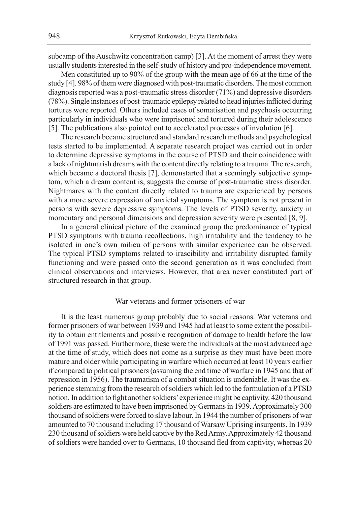subcamp of the Auschwitz concentration camp) [3]. At the moment of arrest they were usually students interested in the self-study of history and pro-independence movement.

Men constituted up to 90% of the group with the mean age of 66 at the time of the study [4]. 98% of them were diagnosed with post-traumatic disorders. The most common diagnosis reported was a post-traumatic stress disorder (71%) and depressive disorders (78%). Single instances of post-traumatic epilepsy related to head injuries inflicted during tortures were reported. Others included cases of somatisation and psychosis occurring particularly in individuals who were imprisoned and tortured during their adolescence [5]. The publications also pointed out to accelerated processes of involution [6].

The research became structured and standard research methods and psychological tests started to be implemented. A separate research project was carried out in order to determine depressive symptoms in the course of PTSD and their coincidence with a lack of nightmarish dreams with the content directly relating to a trauma. The research, which became a doctoral thesis [7], demonstarted that a seemingly subjective symptom, which a dream content is, suggests the course of post-traumatic stress disorder. Nightmares with the content directly related to trauma are experienced by persons with a more severe expression of anxietal symptoms. The symptom is not present in persons with severe depressive symptoms. The levels of PTSD severity, anxiety in momentary and personal dimensions and depression severity were presented [8, 9].

In a general clinical picture of the examined group the predominance of typical PTSD symptoms with trauma recollections, high irritability and the tendency to be isolated in one's own milieu of persons with similar experience can be observed. The typical PTSD symptoms related to irascibility and irritability disrupted family functioning and were passed onto the second generation as it was concluded from clinical observations and interviews. However, that area never constituted part of structured research in that group.

## War veterans and former prisoners of war

It is the least numerous group probably due to social reasons. War veterans and former prisoners of war between 1939 and 1945 had at least to some extent the possibility to obtain entitlements and possible recognition of damage to health before the law of 1991 was passed. Furthermore, these were the individuals at the most advanced age at the time of study, which does not come as a surprise as they must have been more mature and older while participating in warfare which occurred at least 10 years earlier if compared to political prisoners (assuming the end time of warfare in 1945 and that of repression in 1956). The traumatism of a combat situation is undeniable. It was the experience stemming from the research of soldiers which led to the formulation of a PTSD notion. In addition to fight another soldiers' experience might be captivity. 420 thousand soldiers are estimated to have been imprisoned by Germans in 1939. Approximately 300 thousand of soldiers were forced to slave labour. In 1944 the number of prisoners of war amounted to 70 thousand including 17 thousand of Warsaw Uprising insurgents. In 1939 230 thousand of soldiers were held captive by the Red Army. Approximately 42 thousand of soldiers were handed over to Germans, 10 thousand fled from captivity, whereas 20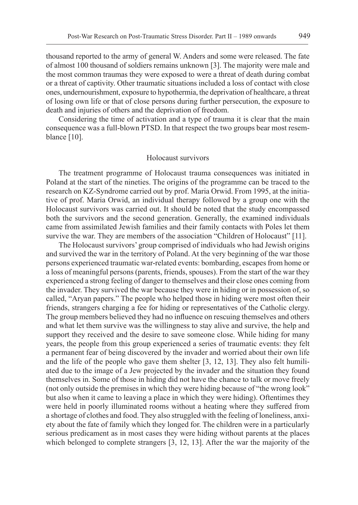thousand reported to the army of general W. Anders and some were released. The fate of almost 100 thousand of soldiers remains unknown [3]. The majority were male and the most common traumas they were exposed to were a threat of death during combat or a threat of captivity. Other traumatic situations included a loss of contact with close ones, undernourishment, exposure to hypothermia, the deprivation of healthcare, a threat of losing own life or that of close persons during further persecution, the exposure to death and injuries of others and the deprivation of freedom.

Considering the time of activation and a type of trauma it is clear that the main consequence was a full-blown PTSD. In that respect the two groups bear most resemblance [10].

#### Holocaust survivors

The treatment programme of Holocaust trauma consequences was initiated in Poland at the start of the nineties. The origins of the programme can be traced to the research on KZ-Syndrome carried out by prof. Maria Orwid. From 1995, at the initiative of prof. Maria Orwid, an individual therapy followed by a group one with the Holocaust survivors was carried out. It should be noted that the study encompassed both the survivors and the second generation. Generally, the examined individuals came from assimilated Jewish families and their family contacts with Poles let them survive the war. They are members of the association "Children of Holocaust" [11].

The Holocaust survivors' group comprised of individuals who had Jewish origins and survived the war in the territory of Poland. At the very beginning of the war those persons experienced traumatic war-related events: bombarding, escapes from home or a loss of meaningful persons (parents, friends, spouses). From the start of the war they experienced a strong feeling of danger to themselves and their close ones coming from the invader. They survived the war because they were in hiding or in possession of, so called, "Aryan papers." The people who helped those in hiding were most often their friends, strangers charging a fee for hiding or representatives of the Catholic clergy. The group members believed they had no influence on rescuing themselves and others and what let them survive was the willingness to stay alive and survive, the help and support they received and the desire to save someone close. While hiding for many years, the people from this group experienced a series of traumatic events: they felt a permanent fear of being discovered by the invader and worried about their own life and the life of the people who gave them shelter [3, 12, 13]. They also felt humiliated due to the image of a Jew projected by the invader and the situation they found themselves in. Some of those in hiding did not have the chance to talk or move freely (not only outside the premises in which they were hiding because of "the wrong look" but also when it came to leaving a place in which they were hiding). Oftentimes they were held in poorly illuminated rooms without a heating where they suffered from a shortage of clothes and food. They also struggled with the feeling of loneliness, anxiety about the fate of family which they longed for. The children were in a particularly serious predicament as in most cases they were hiding without parents at the places which belonged to complete strangers [3, 12, 13]. After the war the majority of the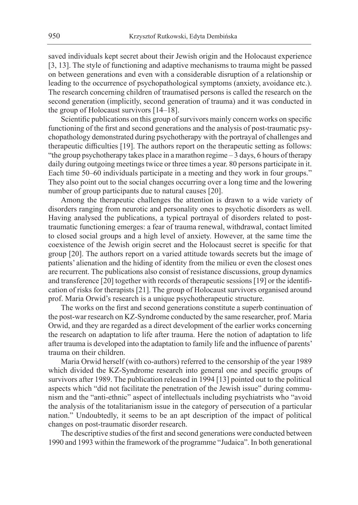saved individuals kept secret about their Jewish origin and the Holocaust experience [3, 13]. The style of functioning and adaptive mechanisms to trauma might be passed on between generations and even with a considerable disruption of a relationship or leading to the occurrence of psychopathological symptoms (anxiety, avoidance etc.). The research concerning children of traumatised persons is called the research on the second generation (implicitly, second generation of trauma) and it was conducted in the group of Holocaust survivors [14–18].

Scientific publications on this group of survivors mainly concern works on specific functioning of the first and second generations and the analysis of post-traumatic psychopathology demonstrated during psychotherapy with the portrayal of challenges and therapeutic difficulties [19]. The authors report on the therapeutic setting as follows: "the group psychotherapy takes place in a marathon regime – 3 days, 6 hours of therapy daily during outgoing meetings twice or three times a year. 80 persons participate in it. Each time 50–60 individuals participate in a meeting and they work in four groups." They also point out to the social changes occurring over a long time and the lowering number of group participants due to natural causes [20].

Among the therapeutic challenges the attention is drawn to a wide variety of disorders ranging from neurotic and personality ones to psychotic disorders as well. Having analysed the publications, a typical portrayal of disorders related to posttraumatic functioning emerges: a fear of trauma renewal, withdrawal, contact limited to closed social groups and a high level of anxiety. However, at the same time the coexistence of the Jewish origin secret and the Holocaust secret is specific for that group [20]. The authors report on a varied attitude towards secrets but the image of patients' alienation and the hiding of identity from the milieu or even the closest ones are recurrent. The publications also consist of resistance discussions, group dynamics and transference [20] together with records of therapeutic sessions [19] or the identification of risks for therapists [21]. The group of Holocaust survivors organised around prof. Maria Orwid's research is a unique psychotherapeutic structure.

The works on the first and second generations constitute a superb continuation of the post-war research on KZ-Syndrome conducted by the same researcher, prof. Maria Orwid, and they are regarded as a direct development of the earlier works concerning the research on adaptation to life after trauma. Here the notion of adaptation to life after trauma is developed into the adaptation to family life and the influence of parents' trauma on their children.

Maria Orwid herself (with co-authors) referred to the censorship of the year 1989 which divided the KZ-Syndrome research into general one and specific groups of survivors after 1989. The publication released in 1994 [13] pointed out to the political aspects which "did not facilitate the penetration of the Jewish issue" during communism and the "anti-ethnic" aspect of intellectuals including psychiatrists who "avoid the analysis of the totalitarianism issue in the category of persecution of a particular nation." Undoubtedly, it seems to be an apt description of the impact of political changes on post-traumatic disorder research.

The descriptive studies of the first and second generations were conducted between 1990 and 1993 within the framework of the programme "Judaica". In both generational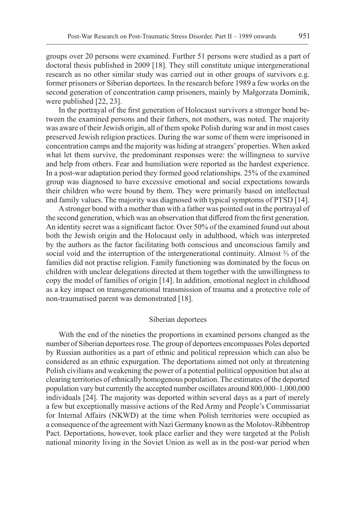groups over 20 persons were examined. Further 51 persons were studied as a part of doctoral thesis published in 2009 [18]. They still constitute unique intergenerational research as no other similar study was carried out in other groups of survivors e.g. former prisoners or Siberian deportees. In the research before 1989 a few works on the second generation of concentration camp prisoners, mainly by Małgorzata Dominik, were published [22, 23].

In the portrayal of the first generation of Holocaust survivors a stronger bond between the examined persons and their fathers, not mothers, was noted. The majority was aware of their Jewish origin, all of them spoke Polish during war and in most cases preserved Jewish religion practices. During the war some of them were imprisoned in concentration camps and the majority was hiding at strangers' properties. When asked what let them survive, the predominant responses were: the willingness to survive and help from others. Fear and humiliation were reported as the hardest experience. In a post-war adaptation period they formed good relationships. 25% of the examined group was diagnosed to have excessive emotional and social expectations towards their children who were bound by them. They were primarily based on intellectual and family values. The majority was diagnosed with typical symptoms of PTSD [14].

A stronger bond with a mother than with a father was pointed out in the portrayal of the second generation, which was an observation that differed from the first generation. An identity secret was a significant factor. Over 50% of the examined found out about both the Jewish origin and the Holocaust only in adulthood, which was interpreted by the authors as the factor facilitating both conscious and unconscious family and social void and the interruption of the intergenerational continuity. Almost ⅔ of the families did not practise religion. Family functioning was dominated by the focus on children with unclear delegations directed at them together with the unwillingness to copy the model of families of origin [14]. In addition, emotional neglect in childhood as a key impact on transgenerational transmission of trauma and a protective role of non-traumatised parent was demonstrated [18].

## Siberian deportees

With the end of the nineties the proportions in examined persons changed as the number of Siberian deportees rose. The group of deportees encompasses Poles deported by Russian authorities as a part of ethnic and political repression which can also be considered as an ethnic expurgation. The deportations aimed not only at threatening Polish civilians and weakening the power of a potential political opposition but also at clearing territories of ethnically homogenous population. The estimates of the deported population vary but currently the accepted number oscillates around 800,000–1,000,000 individuals [24]. The majority was deported within several days as a part of merely a few but exceptionally massive actions of the Red Army and People's Commissariat for Internal Affairs (NKWD) at the time when Polish territories were occupied as a consequence of the agreement with Nazi Germany known as the Molotov-Ribbentrop Pact. Deportations, however, took place earlier and they were targeted at the Polish national minority living in the Soviet Union as well as in the post-war period when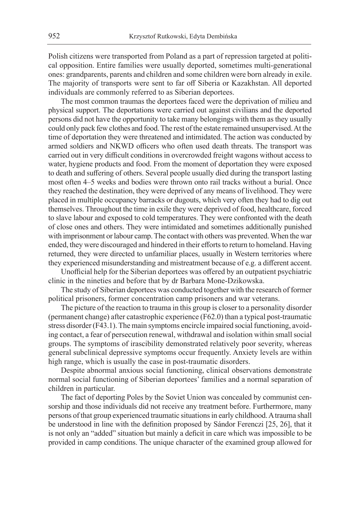Polish citizens were transported from Poland as a part of repression targeted at political opposition. Entire families were usually deported, sometimes multi-generational ones: grandparents, parents and children and some children were born already in exile. The majority of transports were sent to far off Siberia or Kazakhstan. All deported individuals are commonly referred to as Siberian deportees.

The most common traumas the deportees faced were the deprivation of milieu and physical support. The deportations were carried out against civilians and the deported persons did not have the opportunity to take many belongings with them as they usually could only pack few clothes and food. The rest of the estate remained unsupervised. At the time of deportation they were threatened and intimidated. The action was conducted by armed soldiers and NKWD officers who often used death threats. The transport was carried out in very difficult conditions in overcrowded freight wagons without access to water, hygiene products and food. From the moment of deportation they were exposed to death and suffering of others. Several people usually died during the transport lasting most often 4–5 weeks and bodies were thrown onto rail tracks without a burial. Once they reached the destination, they were deprived of any means of livelihood. They were placed in multiple occupancy barracks or dugouts, which very often they had to dig out themselves. Throughout the time in exile they were deprived of food, healthcare, forced to slave labour and exposed to cold temperatures. They were confronted with the death of close ones and others. They were intimidated and sometimes additionally punished with imprisonment or labour camp. The contact with others was prevented. When the war ended, they were discouraged and hindered in their efforts to return to homeland. Having returned, they were directed to unfamiliar places, usually in Western territories where they experienced misunderstanding and mistreatment because of e.g. a different accent.

Unofficial help for the Siberian deportees was offered by an outpatient psychiatric clinic in the nineties and before that by dr Barbara Mone-Dzikowska.

The study of Siberian deportees was conducted together with the research of former political prisoners, former concentration camp prisoners and war veterans.

The picture of the reaction to trauma in this group is closer to a personality disorder (permanent change) after catastrophic experience (F62.0) than a typical post-traumatic stress disorder (F43.1). The main symptoms encircle impaired social functioning, avoiding contact, a fear of persecution renewal, withdrawal and isolation within small social groups. The symptoms of irascibility demonstrated relatively poor severity, whereas general subclinical depressive symptoms occur frequently. Anxiety levels are within high range, which is usually the case in post-traumatic disorders.

Despite abnormal anxious social functioning, clinical observations demonstrate normal social functioning of Siberian deportees' families and a normal separation of children in particular.

The fact of deporting Poles by the Soviet Union was concealed by communist censorship and those individuals did not receive any treatment before. Furthermore, many persons of that group experienced traumatic situations in early childhood. Atrauma shall be understood in line with the definition proposed by Sándor Ferenczi [25, 26], that it is not only an "added" situation but mainly a deficit in care which was impossible to be provided in camp conditions. The unique character of the examined group allowed for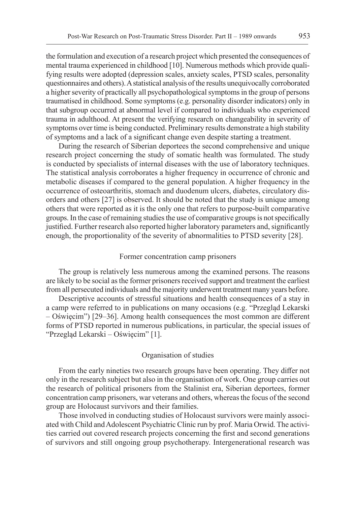the formulation and execution of a research project which presented the consequences of mental trauma experienced in childhood [10]. Numerous methods which provide qualifying results were adopted (depression scales, anxiety scales, PTSD scales, personality questionnaires and others). A statistical analysis of the results unequivocally corroborated a higher severity of practically all psychopathological symptoms in the group of persons traumatised in childhood. Some symptoms (e.g. personality disorder indicators) only in that subgroup occurred at abnormal level if compared to individuals who experienced trauma in adulthood. At present the verifying research on changeability in severity of symptoms over time is being conducted. Preliminary results demonstrate a high stability of symptoms and a lack of a significant change even despite starting a treatment.

During the research of Siberian deportees the second comprehensive and unique research project concerning the study of somatic health was formulated. The study is conducted by specialists of internal diseases with the use of laboratory techniques. The statistical analysis corroborates a higher frequency in occurrence of chronic and metabolic diseases if compared to the general population. A higher frequency in the occurrence of osteoarthritis, stomach and duodenum ulcers, diabetes, circulatory disorders and others [27] is observed. It should be noted that the study is unique among others that were reported as it is the only one that refers to purpose-built comparative groups. In the case of remaining studies the use of comparative groups is not specifically justified. Further research also reported higher laboratory parameters and, significantly enough, the proportionality of the severity of abnormalities to PTSD severity [28].

#### Former concentration camp prisoners

The group is relatively less numerous among the examined persons. The reasons are likely to be social as the former prisoners received support and treatment the earliest from all persecuted individuals and the majority underwent treatment many years before.

Descriptive accounts of stressful situations and health consequences of a stay in a camp were referred to in publications on many occasions (e.g. "Przegląd Lekarski – Oświęcim") [29–36]. Among health consequences the most common are different forms of PTSD reported in numerous publications, in particular, the special issues of "Przegląd Lekarski – Oświęcim" [1].

#### Organisation of studies

From the early nineties two research groups have been operating. They differ not only in the research subject but also in the organisation of work. One group carries out the research of political prisoners from the Stalinist era, Siberian deportees, former concentration camp prisoners, war veterans and others, whereas the focus of the second group are Holocaust survivors and their families.

Those involved in conducting studies of Holocaust survivors were mainly associated with Child and Adolescent Psychiatric Clinic run by prof. Maria Orwid. The activities carried out covered research projects concerning the first and second generations of survivors and still ongoing group psychotherapy. Intergenerational research was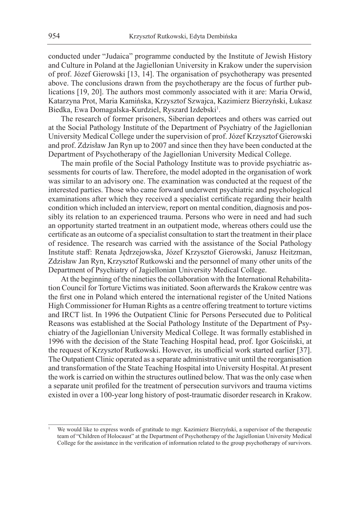conducted under "Judaica" programme conducted by the Institute of Jewish History and Culture in Poland at the Jagiellonian University in Krakow under the supervision of prof. Józef Gierowski [13, 14]. The organisation of psychotherapy was presented above. The conclusions drawn from the psychotherapy are the focus of further publications [19, 20]. The authors most commonly associated with it are: Maria Orwid, Katarzyna Prot, Maria Kamińska, Krzysztof Szwajca, Kazimierz Bierzyński, Łukasz Biedka, Ewa Domagalska-Kurdziel, Ryszard Izdebski<sup>1</sup>.

The research of former prisoners, Siberian deportees and others was carried out at the Social Pathology Institute of the Department of Psychiatry of the Jagiellonian University Medical College under the supervision of prof. Józef Krzysztof Gierowski and prof. Zdzisław Jan Ryn up to 2007 and since then they have been conducted at the Department of Psychotherapy of the Jagiellonian University Medical College.

The main profile of the Social Pathology Institute was to provide psychiatric assessments for courts of law. Therefore, the model adopted in the organisation of work was similar to an advisory one. The examination was conducted at the request of the interested parties. Those who came forward underwent psychiatric and psychological examinations after which they received a specialist certificate regarding their health condition which included an interview, report on mental condition, diagnosis and possibly its relation to an experienced trauma. Persons who were in need and had such an opportunity started treatment in an outpatient mode, whereas others could use the certificate as an outcome of a specialist consultation to start the treatment in their place of residence. The research was carried with the assistance of the Social Pathology Institute staff: Renata Jędrzejowska, Józef Krzysztof Gierowski, Janusz Heitzman, Zdzisław Jan Ryn, Krzysztof Rutkowski and the personnel of many other units of the Department of Psychiatry of Jagiellonian University Medical College.

At the beginning of the nineties the collaboration with the International Rehabilitation Council for Torture Victims was initiated. Soon afterwards the Krakow centre was the first one in Poland which entered the international register of the United Nations High Commissioner for Human Rights as a centre offering treatment to torture victims and IRCT list. In 1996 the Outpatient Clinic for Persons Persecuted due to Political Reasons was established at the Social Pathology Institute of the Department of Psychiatry of the Jagiellonian University Medical College. It was formally established in 1996 with the decision of the State Teaching Hospital head, prof. Igor Gościński, at the request of Krzysztof Rutkowski. However, its unofficial work started earlier [37]. The Outpatient Clinic operated as a separate administrative unit until the reorganisation and transformation of the State Teaching Hospital into University Hospital. At present the work is carried on within the structures outlined below. That was the only case when a separate unit profiled for the treatment of persecution survivors and trauma victims existed in over a 100-year long history of post-traumatic disorder research in Krakow.

<sup>1</sup> We would like to express words of gratitude to mgr. Kazimierz Bierzyński, a supervisor of the therapeutic team of "Children of Holocaust" at the Department of Psychotherapy of the Jagiellonian University Medical College for the assistance in the verification of information related to the group psychotherapy of survivors.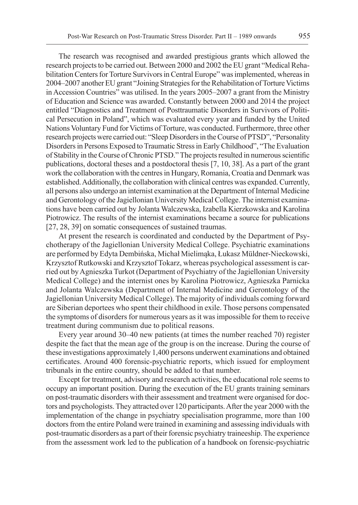The research was recognised and awarded prestigious grants which allowed the research projects to be carried out. Between 2000 and 2002 the EU grant "Medical Rehabilitation Centers for Torture Survivors in Central Europe" was implemented, whereas in 2004–2007 another EU grant "Joining Strategies for the Rehabilitation of Torture Victims in Accession Countries" was utilised. In the years 2005–2007 a grant from the Ministry of Education and Science was awarded. Constantly between 2000 and 2014 the project entitled "Diagnostics and Treatment of Posttraumatic Disorders in Survivors of Political Persecution in Poland", which was evaluated every year and funded by the United Nations Voluntary Fund for Victims of Torture, was conducted. Furthermore, three other research projects were carried out: "Sleep Disorders in the Course of PTSD", "Personality Disorders in Persons Exposed to Traumatic Stress in Early Childhood", "The Evaluation of Stability in the Course of Chronic PTSD." The projects resulted in numerous scientific publications, doctoral theses and a postdoctoral thesis [7, 10, 38]. As a part of the grant work the collaboration with the centres in Hungary, Romania, Croatia and Denmark was established. Additionally, the collaboration with clinical centres was expanded. Currently, all persons also undergo an internist examination at the Department of Internal Medicine and Gerontology of the Jagiellonian University Medical College. The internist examinations have been carried out by Jolanta Walczewska, Izabella Kierzkowska and Karolina Piotrowicz. The results of the internist examinations became a source for publications [27, 28, 39] on somatic consequences of sustained traumas.

At present the research is coordinated and conducted by the Department of Psychotherapy of the Jagiellonian University Medical College. Psychiatric examinations are performed by Edyta Dembińska, Michał Mielimąka, Łukasz Müldner-Nieckowski, Krzysztof Rutkowski and Krzysztof Tokarz, whereas psychological assessment is carried out by Agnieszka Turkot (Department of Psychiatry of the Jagiellonian University Medical College) and the internist ones by Karolina Piotrowicz, Agnieszka Parnicka and Jolanta Walczewska (Department of Internal Medicine and Gerontology of the Jagiellonian University Medical College). The majority of individuals coming forward are Siberian deportees who spent their childhood in exile. Those persons compensated the symptoms of disorders for numerous years as it was impossible for them to receive treatment during communism due to political reasons.

Every year around 30–40 new patients (at times the number reached 70) register despite the fact that the mean age of the group is on the increase. During the course of these investigations approximately 1,400 persons underwent examinations and obtained certificates. Around 400 forensic-psychiatric reports, which issued for employment tribunals in the entire country, should be added to that number.

Except for treatment, advisory and research activities, the educational role seems to occupy an important position. During the execution of the EU grants training seminars on post-traumatic disorders with their assessment and treatment were organised for doctors and psychologists. They attracted over 120 participants. After the year 2000 with the implementation of the change in psychiatry specialisation programme, more than 100 doctors from the entire Poland were trained in examining and assessing individuals with post-traumatic disorders as a part of their forensic psychiatry traineeship. The experience from the assessment work led to the publication of a handbook on forensic-psychiatric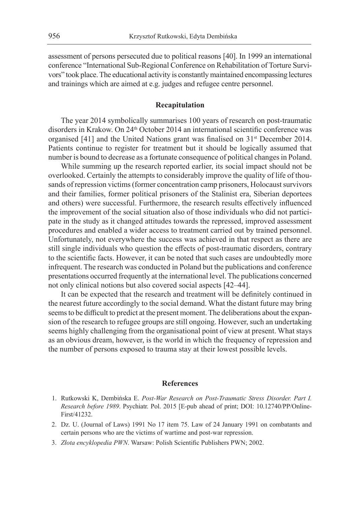assessment of persons persecuted due to political reasons [40]. In 1999 an international conference "International Sub-Regional Conference on Rehabilitation of Torture Survivors" took place. The educational activity is constantly maintained encompassing lectures and trainings which are aimed at e.g. judges and refugee centre personnel.

#### **Recapitulation**

The year 2014 symbolically summarises 100 years of research on post-traumatic disorders in Krakow. On 24<sup>th</sup> October 2014 an international scientific conference was organised [41] and the United Nations grant was finalised on 31<sup>st</sup> December 2014. Patients continue to register for treatment but it should be logically assumed that number is bound to decrease as a fortunate consequence of political changes in Poland.

While summing up the research reported earlier, its social impact should not be overlooked. Certainly the attempts to considerably improve the quality of life of thousands of repression victims (former concentration camp prisoners, Holocaust survivors and their families, former political prisoners of the Stalinist era, Siberian deportees and others) were successful. Furthermore, the research results effectively influenced the improvement of the social situation also of those individuals who did not participate in the study as it changed attitudes towards the repressed, improved assessment procedures and enabled a wider access to treatment carried out by trained personnel. Unfortunately, not everywhere the success was achieved in that respect as there are still single individuals who question the effects of post-traumatic disorders, contrary to the scientific facts. However, it can be noted that such cases are undoubtedly more infrequent. The research was conducted in Poland but the publications and conference presentations occurred frequently at the international level. The publications concerned not only clinical notions but also covered social aspects [42–44].

It can be expected that the research and treatment will be definitely continued in the nearest future accordingly to the social demand. What the distant future may bring seems to be difficult to predict at the present moment. The deliberations about the expansion of the research to refugee groups are still ongoing. However, such an undertaking seems highly challenging from the organisational point of view at present. What stays as an obvious dream, however, is the world in which the frequency of repression and the number of persons exposed to trauma stay at their lowest possible levels.

#### **References**

- 1. Rutkowski K, Dembińska E. *Post-War Research on Post-Traumatic Stress Disorder. Part I. Research before 1989*. Psychiatr. Pol. 2015 [E-pub ahead of print; DOI: 10.12740/PP/Online-First/41232.
- 2. Dz. U. (Journal of Laws) 1991 No 17 item 75. Law of 24 January 1991 on combatants and certain persons who are the victims of wartime and post-war repression.
- 3. *Złota encyklopedia PWN*. Warsaw: Polish Scientific Publishers PWN; 2002.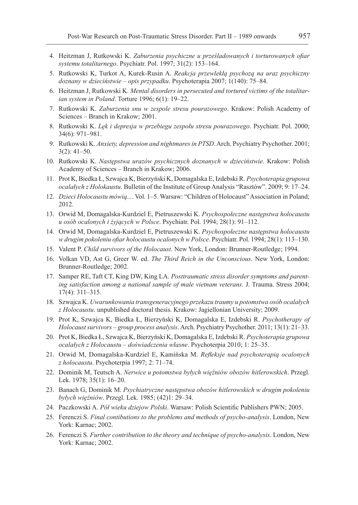- 4. Heitzman J, Rutkowski K. *Zaburzenia psychiczne u prześladowanych i torturowanych ofiar systemu totalitarnego*. Psychiatr. Pol. 1997; 31(2): 153–164.
- 5. Rutkowski K, Turkot A, Kurek-Rusin A. *Reakcja przewlekłą psychozą na uraz psychiczny doznany w dzieciństwie – opis przypadku*. Psychoterapia 2007; 1(140): 75–84.
- 6. Heitzman J, Rutkowski K. *Mental disorders in persecuted and tortured victims of the totalitarian system in Poland*. Torture 1996; 6(1): 19–22.
- 7. Rutkowski K. *Zaburzenia snu w zespole stresu pourazowego*. Krakow: Polish Academy of Sciences – Branch in Krakow; 2001.
- 8. Rutkowski K. *Lęk i depresja w przebiegu zespołu stresu pourazowego*. Psychiatr. Pol. 2000; 34(6): 971–981.
- 9. Rutkowski K. *Anxiety, depression and nightmares in PTSD*. Arch. Psychiatry Psychother. 2001; 3(2): 41–50.
- 10. Rutkowski K. *Następstwa urazów psychicznych doznanych w dzieciństwie*. Krakow: Polish Academy of Sciences – Branch in Krakow; 2006.
- 11. Prot K, Biedka Ł, Szwajca K, Bierzyński K, Domagalska E, Izdebski R. *Psychoterapia grupowa ocalałych z Holokaustu*. Bulletin of the Institute of Group Analysis "Rasztów". 2009; 9: 17–24.
- 12. *Dzieci Holocaustu mówią...*. Vol. 1–5. Warsaw: "Children of Holocaust" Association in Poland; 2012.
- 13. Orwid M, Domagalska-Kurdziel E, Pietruszewski K. *Psychospołeczne następstwa holocaustu u osób ocalonych i żyjących w Polsce*. Psychiatr. Pol. 1994; 28(1): 91–112.
- 14. Orwid M, Domagalska-Kurdziel E, Pietruszewski K. *Psychospołeczne następstwa holocaustu w drugim pokoleniu ofiar holocaustu ocalonych w Polsce*. Psychiatr. Pol. 1994; 28(1): 113–130.
- 15. Valent P. *Child survivors of the Holocaust*. New York, London: Brunner-Routledge; 1994.
- 16. Volkan VD, Ast G, Greer W. ed. *The Third Reich in the Unconscious*. New York, London: Brunner-Routledge; 2002.
- 17. Samper RE, Taft CT, King DW, King LA. *Posttraumatic stress disorder symptoms and parenting satisfaction among a national sample of male vietnam veterans*. J. Trauma. Stress 2004; 17(4): 311–315.
- 18. Szwajca K. *Uwarunkowania transgeneracyjnego przekazu traumy u potomstwa osób ocalałych z Holocaustu*. unpublished doctoral thesis. Krakow: Jagiellonian University; 2009.
- 19. Prot K, Szwajca K, Biedka Ł, Bierzyński K, Domagalska E, Izdebski R. *Psychotherapy of Holocaust survivors – group process analysis*. Arch. Psychiatry Psychother. 2011; 13(1): 21–33.
- 20. Prot K, Biedka Ł, Szwajca K, Bierzyński K, Domagalska E, Izdebski R. *Psychoterapia grupowa ocalałych z Holocaustu – doświadczenia własne*. Psychoterpia 2010; 1: 25–35.
- 21. Orwid M, Domagalska-Kurdziel E, Kamińska M. *Refleksje nad psychoterapią ocalonych z holocaustu*. Psychoterpia 1997; 2: 71–74.
- 22. Dominik M, Teutsch A. *Nerwice u potomstwa byłych więźniów obozów hitlerowskich*. Przegl. Lek. 1978; 35(1): 16–20.
- 23. Banach G, Dominik M. *Psychiatryczne następstwa obozów hitlerowskich w drugim pokoleniu byłych więźniów*. Przegl. Lek. 1985; (42)1: 29–34.
- 24. Paczkowski A. *Pół wieku dziejow Polski*. Warsaw: Polish Scientific Publishers PWN; 2005.
- 25. Ferenczi S. *Final contibutions to the problems and methods of psycho-analysis*. London, New York: Karnac; 2002.
- 26. Ferenczi S. *Further contribution to the theory and technique of psycho-analysis*. London, New York: Karnac; 2002.